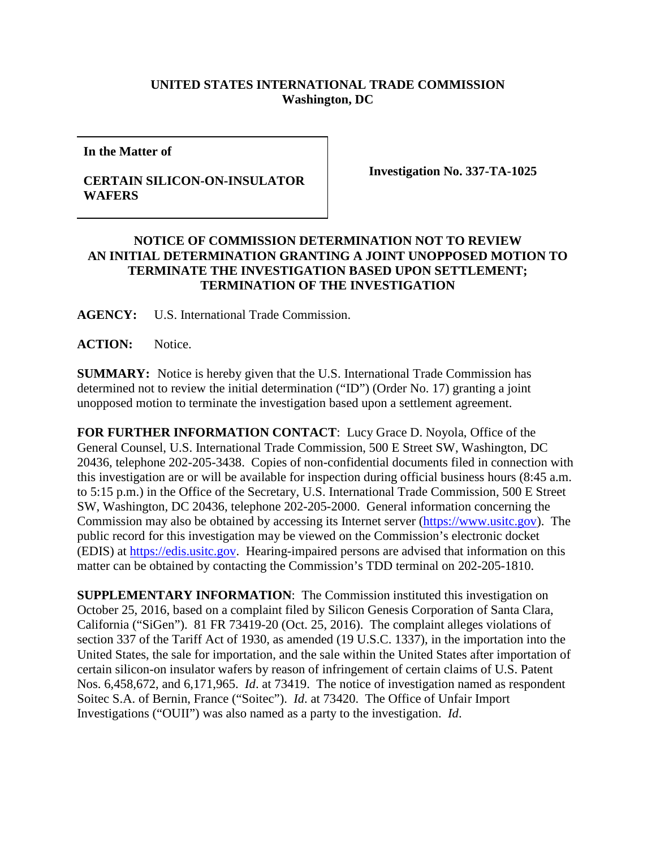## **UNITED STATES INTERNATIONAL TRADE COMMISSION Washington, DC**

**In the Matter of**

## **CERTAIN SILICON-ON-INSULATOR WAFERS**

**Investigation No. 337-TA-1025**

## **NOTICE OF COMMISSION DETERMINATION NOT TO REVIEW AN INITIAL DETERMINATION GRANTING A JOINT UNOPPOSED MOTION TO TERMINATE THE INVESTIGATION BASED UPON SETTLEMENT; TERMINATION OF THE INVESTIGATION**

**AGENCY:** U.S. International Trade Commission.

**ACTION:** Notice.

**SUMMARY:** Notice is hereby given that the U.S. International Trade Commission has determined not to review the initial determination ("ID") (Order No. 17) granting a joint unopposed motion to terminate the investigation based upon a settlement agreement.

**FOR FURTHER INFORMATION CONTACT**: Lucy Grace D. Noyola, Office of the General Counsel, U.S. International Trade Commission, 500 E Street SW, Washington, DC 20436, telephone 202-205-3438. Copies of non-confidential documents filed in connection with this investigation are or will be available for inspection during official business hours (8:45 a.m. to 5:15 p.m.) in the Office of the Secretary, U.S. International Trade Commission, 500 E Street SW, Washington, DC 20436, telephone 202-205-2000. General information concerning the Commission may also be obtained by accessing its Internet server [\(https://www.usitc.gov\)](https://www.usitc.gov/). The public record for this investigation may be viewed on the Commission's electronic docket (EDIS) at [https://edis.usitc.gov.](https://edis.usitc.gov/) Hearing-impaired persons are advised that information on this matter can be obtained by contacting the Commission's TDD terminal on 202-205-1810.

**SUPPLEMENTARY INFORMATION:** The Commission instituted this investigation on October 25, 2016, based on a complaint filed by Silicon Genesis Corporation of Santa Clara, California ("SiGen"). 81 FR 73419-20 (Oct. 25, 2016). The complaint alleges violations of section 337 of the Tariff Act of 1930, as amended (19 U.S.C. 1337), in the importation into the United States, the sale for importation, and the sale within the United States after importation of certain silicon-on insulator wafers by reason of infringement of certain claims of U.S. Patent Nos. 6,458,672, and 6,171,965. *Id*. at 73419. The notice of investigation named as respondent Soitec S.A. of Bernin, France ("Soitec"). *Id*. at 73420. The Office of Unfair Import Investigations ("OUII") was also named as a party to the investigation. *Id*.